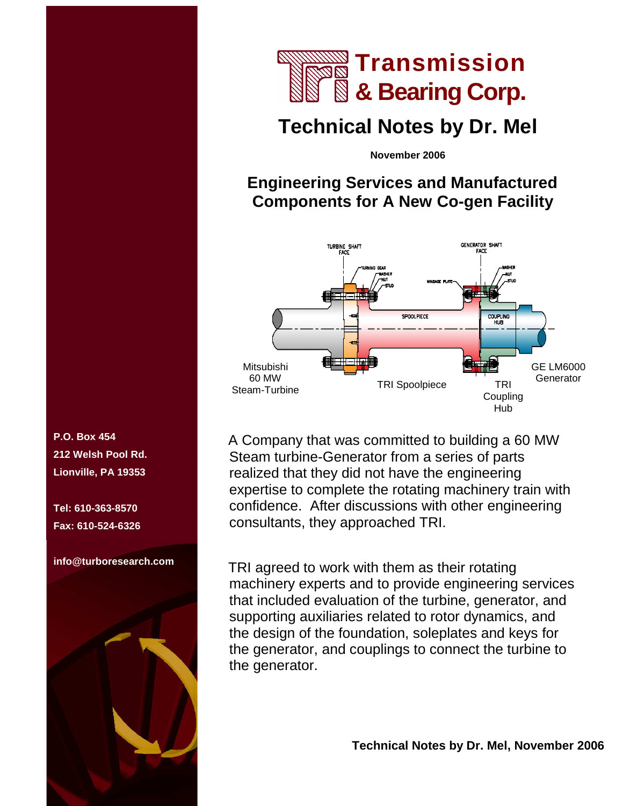

# **Technical Notes by Dr. Mel**

**November 2006** 

### **Engineering Services and Manufactured Components for A New Co-gen Facility**



A Company that was committed to building a 60 MW Steam turbine-Generator from a series of parts realized that they did not have the engineering expertise to complete the rotating machinery train with confidence. After discussions with other engineering consultants, they approached TRI.

TRI agreed to work with them as their rotating machinery experts and to provide engineering services that included evaluation of the turbine, generator, and supporting auxiliaries related to rotor dynamics, and the design of the foundation, soleplates and keys for the generator, and couplings to connect the turbine to the generator.

 **Technical Notes by Dr. Mel, November 2006** 

**P.O. Box 454 212 Welsh Pool Rd. Lionville, PA 19353** 

**Tel: 610-363-8570 Fax: 610-524-6326** 

**info@turboresearch.com**